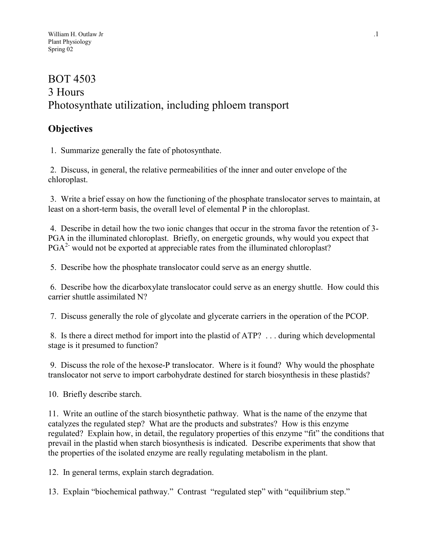# BOT 4503 3 Hours Photosynthate utilization, including phloem transport

# **Objectives**

1. Summarize generally the fate of photosynthate.

 2. Discuss, in general, the relative permeabilities of the inner and outer envelope of the chloroplast.

 3. Write a brief essay on how the functioning of the phosphate translocator serves to maintain, at least on a short-term basis, the overall level of elemental P in the chloroplast.

 4. Describe in detail how the two ionic changes that occur in the stroma favor the retention of 3- PGA in the illuminated chloroplast. Briefly, on energetic grounds, why would you expect that  $PGA<sup>2</sup>$  would not be exported at appreciable rates from the illuminated chloroplast?

5. Describe how the phosphate translocator could serve as an energy shuttle.

 6. Describe how the dicarboxylate translocator could serve as an energy shuttle. How could this carrier shuttle assimilated N?

7. Discuss generally the role of glycolate and glycerate carriers in the operation of the PCOP.

 8. Is there a direct method for import into the plastid of ATP? . . . during which developmental stage is it presumed to function?

 9. Discuss the role of the hexose-P translocator. Where is it found? Why would the phosphate translocator not serve to import carbohydrate destined for starch biosynthesis in these plastids?

10. Briefly describe starch.

11. Write an outline of the starch biosynthetic pathway. What is the name of the enzyme that catalyzes the regulated step? What are the products and substrates? How is this enzyme regulated? Explain how, in detail, the regulatory properties of this enzyme "fit" the conditions that prevail in the plastid when starch biosynthesis is indicated. Describe experiments that show that the properties of the isolated enzyme are really regulating metabolism in the plant.

12. In general terms, explain starch degradation.

13. Explain "biochemical pathway." Contrast "regulated step" with "equilibrium step."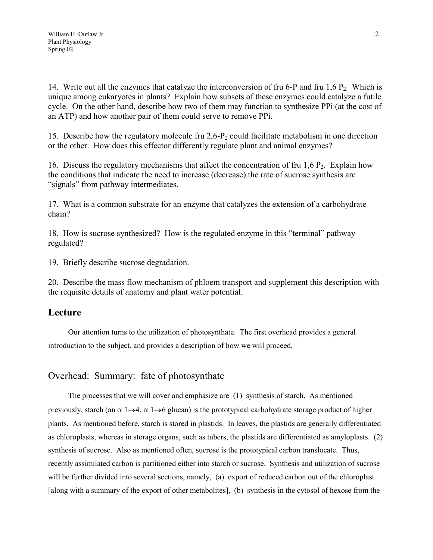14. Write out all the enzymes that catalyze the interconversion of fru 6-P and fru 1,6 P<sub>2</sub>. Which is unique among eukaryotes in plants? Explain how subsets of these enzymes could catalyze a futile cycle. On the other hand, describe how two of them may function to synthesize PPi (at the cost of an ATP) and how another pair of them could serve to remove PPi.

15. Describe how the regulatory molecule fru  $2.6$ -P<sub>2</sub> could facilitate metabolism in one direction or the other. How does this effector differently regulate plant and animal enzymes?

16. Discuss the regulatory mechanisms that affect the concentration of fru 1,6  $P_2$ . Explain how the conditions that indicate the need to increase (decrease) the rate of sucrose synthesis are "signals" from pathway intermediates.

17. What is a common substrate for an enzyme that catalyzes the extension of a carbohydrate chain?

18. How is sucrose synthesized? How is the regulated enzyme in this "terminal" pathway regulated?

19. Briefly describe sucrose degradation.

20. Describe the mass flow mechanism of phloem transport and supplement this description with the requisite details of anatomy and plant water potential.

## **Lecture**

Our attention turns to the utilization of photosynthate. The first overhead provides a general introduction to the subject, and provides a description of how we will proceed.

## Overhead: Summary: fate of photosynthate

The processes that we will cover and emphasize are (1) synthesis of starch. As mentioned previously, starch (an  $\alpha$  1 $\rightarrow$ 4,  $\alpha$  1 $\rightarrow$ 6 glucan) is the prototypical carbohydrate storage product of higher plants. As mentioned before, starch is stored in plastids. In leaves, the plastids are generally differentiated as chloroplasts, whereas in storage organs, such as tubers, the plastids are differentiated as amyloplasts. (2) synthesis of sucrose. Also as mentioned often, sucrose is the prototypical carbon translocate. Thus, recently assimilated carbon is partitioned either into starch or sucrose. Synthesis and utilization of sucrose will be further divided into several sections, namely, (a) export of reduced carbon out of the chloroplast [along with a summary of the export of other metabolites], (b) synthesis in the cytosol of hexose from the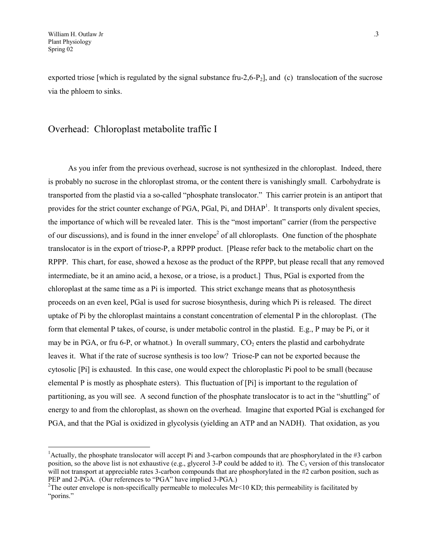exported triose [which is regulated by the signal substance fru-2,6-P<sub>2</sub>], and (c) translocation of the sucrose via the phloem to sinks.

### Overhead: Chloroplast metabolite traffic I

As you infer from the previous overhead, sucrose is not synthesized in the chloroplast. Indeed, there is probably no sucrose in the chloroplast stroma, or the content there is vanishingly small. Carbohydrate is transported from the plastid via a so-called "phosphate translocator." This carrier protein is an antiport that provides for the strict counter exchange of PGA, PGal, Pi, and DHAP<sup>1</sup>. It transports only divalent species, the importance of which will be revealed later. This is the "most important" carrier (from the perspective of our discussions), and is found in the inner envelope<sup>[2](#page-2-1)</sup> of all chloroplasts. One function of the phosphate translocator is in the export of triose-P, a RPPP product. [Please refer back to the metabolic chart on the RPPP. This chart, for ease, showed a hexose as the product of the RPPP, but please recall that any removed intermediate, be it an amino acid, a hexose, or a triose, is a product.] Thus, PGal is exported from the chloroplast at the same time as a Pi is imported. This strict exchange means that as photosynthesis proceeds on an even keel, PGal is used for sucrose biosynthesis, during which Pi is released. The direct uptake of Pi by the chloroplast maintains a constant concentration of elemental P in the chloroplast. (The form that elemental P takes, of course, is under metabolic control in the plastid. E.g., P may be Pi, or it may be in PGA, or fru 6-P, or whatnot.) In overall summary,  $CO<sub>2</sub>$  enters the plastid and carbohydrate leaves it. What if the rate of sucrose synthesis is too low? Triose-P can not be exported because the cytosolic [Pi] is exhausted. In this case, one would expect the chloroplastic Pi pool to be small (because elemental P is mostly as phosphate esters). This fluctuation of [Pi] is important to the regulation of partitioning, as you will see. A second function of the phosphate translocator is to act in the "shuttling" of energy to and from the chloroplast, as shown on the overhead. Imagine that exported PGal is exchanged for PGA, and that the PGal is oxidized in glycolysis (yielding an ATP and an NADH). That oxidation, as you

<span id="page-2-0"></span><sup>&</sup>lt;sup>1</sup> Actually, the phosphate translocator will accept Pi and 3-carbon compounds that are phosphorylated in the  $#3$  carbon position, so the above list is not exhaustive (e.g., glycerol 3-P could be added to it). The  $C_3$  version of this translocator will not transport at appreciable rates 3-carbon compounds that are phosphorylated in the #2 carbon position, such as PEP and 2-PGA. (Our references to "PGA" have implied 3-PGA.)

<span id="page-2-1"></span><sup>&</sup>lt;sup>2</sup>The outer envelope is non-specifically permeable to molecules  $Mr < 10$  KD; this permeability is facilitated by "porins."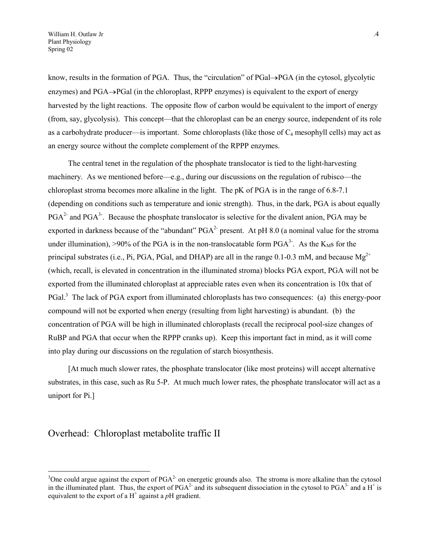know, results in the formation of PGA. Thus, the "circulation" of PGal $\rightarrow$ PGA (in the cytosol, glycolytic enzymes) and PGA $\rightarrow$ PGal (in the chloroplast, RPPP enzymes) is equivalent to the export of energy harvested by the light reactions. The opposite flow of carbon would be equivalent to the import of energy (from, say, glycolysis). This concept—that the chloroplast can be an energy source, independent of its role as a carbohydrate producer—is important. Some chloroplasts (like those of  $C_4$  mesophyll cells) may act as an energy source without the complete complement of the RPPP enzymes.

The central tenet in the regulation of the phosphate translocator is tied to the light-harvesting machinery. As we mentioned before—e.g., during our discussions on the regulation of rubisco—the chloroplast stroma becomes more alkaline in the light. The pK of PGA is in the range of 6.8-7.1 (depending on conditions such as temperature and ionic strength). Thus, in the dark, PGA is about equally  $PGA<sup>2-</sup>$  and  $PGA<sup>3-</sup>$ . Because the phosphate translocator is selective for the divalent anion, PGA may be exported in darkness because of the "abundant"  $PGA^2$  present. At pH 8.0 (a nominal value for the stroma under illumination), >90% of the PGA is in the non-translocatable form  $PGA<sup>3</sup>$ . As the K<sub>M</sub>s for the principal substrates (i.e., Pi, PGA, PGal, and DHAP) are all in the range 0.1-0.3 mM, and because  $Mg^{2+}$ (which, recall, is elevated in concentration in the illuminated stroma) blocks PGA export, PGA will not be exported from the illuminated chloroplast at appreciable rates even when its concentration is 10x that of PGal.<sup>[3](#page-3-0)</sup> The lack of PGA export from illuminated chloroplasts has two consequences: (a) this energy-poor compound will not be exported when energy (resulting from light harvesting) is abundant. (b) the concentration of PGA will be high in illuminated chloroplasts (recall the reciprocal pool-size changes of RuBP and PGA that occur when the RPPP cranks up). Keep this important fact in mind, as it will come into play during our discussions on the regulation of starch biosynthesis.

[At much much slower rates, the phosphate translocator (like most proteins) will accept alternative substrates, in this case, such as Ru 5-P. At much much lower rates, the phosphate translocator will act as a uniport for Pi.]

### Overhead: Chloroplast metabolite traffic II

 $\overline{a}$ 

<span id="page-3-0"></span><sup>&</sup>lt;sup>3</sup>One could argue against the export of  $PGA<sup>2</sup>$  on energetic grounds also. The stroma is more alkaline than the cytosol in the illuminated plant. Thus, the export of  $PGA^2$  and its subsequent dissociation in the cytosol to  $PGA^3$  and a  $H^+$  is equivalent to the export of a  $H^+$  against a  $pH$  gradient.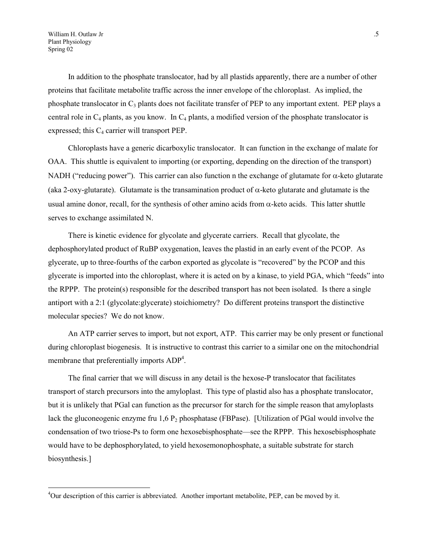In addition to the phosphate translocator, had by all plastids apparently, there are a number of other proteins that facilitate metabolite traffic across the inner envelope of the chloroplast. As implied, the phosphate translocator in  $C_3$  plants does not facilitate transfer of PEP to any important extent. PEP plays a central role in  $C_4$  plants, as you know. In  $C_4$  plants, a modified version of the phosphate translocator is expressed; this  $C_4$  carrier will transport PEP.

Chloroplasts have a generic dicarboxylic translocator. It can function in the exchange of malate for OAA. This shuttle is equivalent to importing (or exporting, depending on the direction of the transport) NADH ("reducing power"). This carrier can also function n the exchange of glutamate for  $\alpha$ -keto glutarate (aka 2-oxy-glutarate). Glutamate is the transamination product of  $\alpha$ -keto glutarate and glutamate is the usual amine donor, recall, for the synthesis of other amino acids from  $\alpha$ -keto acids. This latter shuttle serves to exchange assimilated N.

There is kinetic evidence for glycolate and glycerate carriers. Recall that glycolate, the dephosphorylated product of RuBP oxygenation, leaves the plastid in an early event of the PCOP. As glycerate, up to three-fourths of the carbon exported as glycolate is "recovered" by the PCOP and this glycerate is imported into the chloroplast, where it is acted on by a kinase, to yield PGA, which "feeds" into the RPPP. The protein(s) responsible for the described transport has not been isolated. Is there a single antiport with a 2:1 (glycolate:glycerate) stoichiometry? Do different proteins transport the distinctive molecular species? We do not know.

An ATP carrier serves to import, but not export, ATP. This carrier may be only present or functional during chloroplast biogenesis. It is instructive to contrast this carrier to a similar one on the mitochondrial membrane that preferentially imports ADP<sup>[4](#page-4-0)</sup>.

The final carrier that we will discuss in any detail is the hexose-P translocator that facilitates transport of starch precursors into the amyloplast. This type of plastid also has a phosphate translocator, but it is unlikely that PGal can function as the precursor for starch for the simple reason that amyloplasts lack the gluconeogenic enzyme fru  $1,6$  P<sub>2</sub> phosphatase (FBPase). [Utilization of PGal would involve the condensation of two triose-Ps to form one hexosebisphosphate—see the RPPP. This hexosebisphosphate would have to be dephosphorylated, to yield hexosemonophosphate, a suitable substrate for starch biosynthesis.]

<span id="page-4-0"></span><sup>&</sup>lt;sup>4</sup>Our description of this carrier is abbreviated. Another important metabolite, PEP, can be moved by it.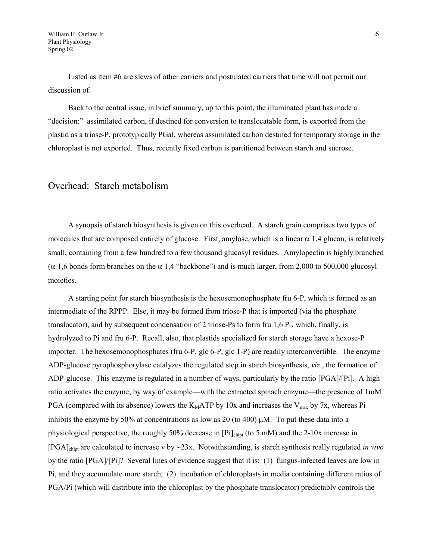Listed as item #6 are slews of other carriers and postulated carriers that time will not permit our discussion of.

Back to the central issue, in brief summary, up to this point, the illuminated plant has made a "decision:" assimilated carbon, if destined for conversion to translocatable form, is exported from the plastid as a triose-P, prototypically PGal, whereas assimilated carbon destined for temporary storage in the chloroplast is not exported. Thus, recently fixed carbon is partitioned between starch and sucrose.

#### Overhead: Starch metabolism

A synopsis of starch biosynthesis is given on this overhead. A starch grain comprises two types of molecules that are composed entirely of glucose. First, amylose, which is a linear  $\alpha$  1.4 glucan, is relatively small, containing from a few hundred to a few thousand glucosyl residues. Amylopectin is highly branched  $(\alpha 1,6$  bonds form branches on the  $\alpha 1,4$  "backbone") and is much larger, from 2,000 to 500,000 glucosyl moieties.

A starting point for starch biosynthesis is the hexosemonophosphate fru 6-P, which is formed as an intermediate of the RPPP. Else, it may be formed from triose-P that is imported (via the phosphate translocator), and by subsequent condensation of 2 triose-Ps to form fru 1,6  $P_2$ , which, finally, is hydrolyzed to Pi and fru 6-P. Recall, also, that plastids specialized for starch storage have a hexose-P importer. The hexosemonophosphates (fru 6-P, glc 6-P, glc 1-P) are readily interconvertible. The enzyme ADP-glucose pyrophosphorylase catalyzes the regulated step in starch biosynthesis, *viz*., the formation of ADP-glucose. This enzyme is regulated in a number of ways, particularly by the ratio [PGA]/[Pi]. A high ratio activates the enzyme; by way of example—with the extracted spinach enzyme—the presence of 1mM PGA (compared with its absence) lowers the  $K_MATP$  by 10x and increases the  $V_{max}$  by 7x, whereas Pi inhibits the enzyme by 50% at concentrations as low as 20 (to 400)  $\mu$ M. To put these data into a physiological perspective, the roughly 50% decrease in  $[Pi]_{\text{chlet}}$  (to 5 mM) and the 2-10x increase in [PGA]chlpt are calculated to increase v by 23x. Notwithstanding, is starch synthesis really regulated *in vivo* by the ratio [PGA]/[Pi]? Several lines of evidence suggest that it is: (1) fungus-infected leaves are low in Pi, and they accumulate more starch; (2) incubation of chloroplasts in media containing different ratios of PGA/Pi (which will distribute into the chloroplast by the phosphate translocator) predictably controls the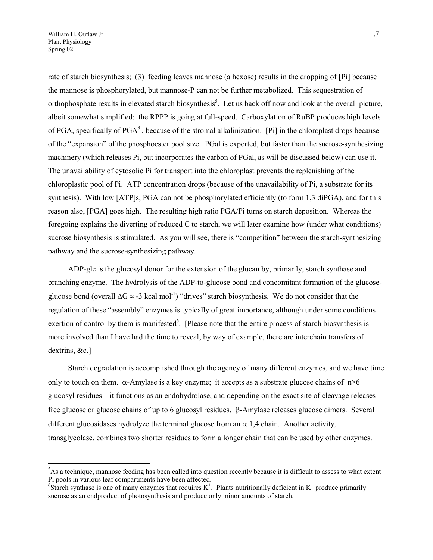rate of starch biosynthesis; (3) feeding leaves mannose (a hexose) results in the dropping of [Pi] because the mannose is phosphorylated, but mannose-P can not be further metabolized. This sequestration of orthophosphate results in elevated starch biosynthesis<sup>5</sup>. Let us back off now and look at the overall picture, albeit somewhat simplified: the RPPP is going at full-speed. Carboxylation of RuBP produces high levels of PGA, specifically of PGA<sup>3-</sup>, because of the stromal alkalinization. [Pi] in the chloroplast drops because of the "expansion" of the phosphoester pool size. PGal is exported, but faster than the sucrose-synthesizing machinery (which releases Pi, but incorporates the carbon of PGal, as will be discussed below) can use it. The unavailability of cytosolic Pi for transport into the chloroplast prevents the replenishing of the chloroplastic pool of Pi. ATP concentration drops (because of the unavailability of Pi, a substrate for its synthesis). With low [ATP]s, PGA can not be phosphorylated efficiently (to form 1,3 diPGA), and for this reason also, [PGA] goes high. The resulting high ratio PGA/Pi turns on starch deposition. Whereas the foregoing explains the diverting of reduced C to starch, we will later examine how (under what conditions) sucrose biosynthesis is stimulated. As you will see, there is "competition" between the starch-synthesizing pathway and the sucrose-synthesizing pathway.

ADP-glc is the glucosyl donor for the extension of the glucan by, primarily, starch synthase and branching enzyme. The hydrolysis of the ADP-to-glucose bond and concomitant formation of the glucoseglucose bond (overall  $\Delta G \approx -3$  kcal mol<sup>-1</sup>) "drives" starch biosynthesis. We do not consider that the regulation of these "assembly" enzymes is typically of great importance, although under some conditions exertion of control by them is manifested<sup>[6](#page-6-1)</sup>. [Please note that the entire process of starch biosynthesis is more involved than I have had the time to reveal; by way of example, there are interchain transfers of dextrins, &c.]

Starch degradation is accomplished through the agency of many different enzymes, and we have time only to touch on them.  $\alpha$ -Amylase is a key enzyme; it accepts as a substrate glucose chains of  $n>6$ glucosyl residues—it functions as an endohydrolase, and depending on the exact site of cleavage releases free glucose or glucose chains of up to 6 glucosyl residues.  $\beta$ -Amylase releases glucose dimers. Several different glucosidases hydrolyze the terminal glucose from an  $\alpha$  1.4 chain. Another activity, transglycolase, combines two shorter residues to form a longer chain that can be used by other enzymes.

<span id="page-6-0"></span><sup>&</sup>lt;sup>5</sup>As a technique, mannose feeding has been called into question recently because it is difficult to assess to what extent Pi pools in various leaf compartments have been affected.

<span id="page-6-1"></span><sup>&</sup>lt;sup>6</sup>Starch synthase is one of many enzymes that requires  $K^+$ . Plants nutritionally deficient in  $K^+$  produce primarily sucrose as an endproduct of photosynthesis and produce only minor amounts of starch.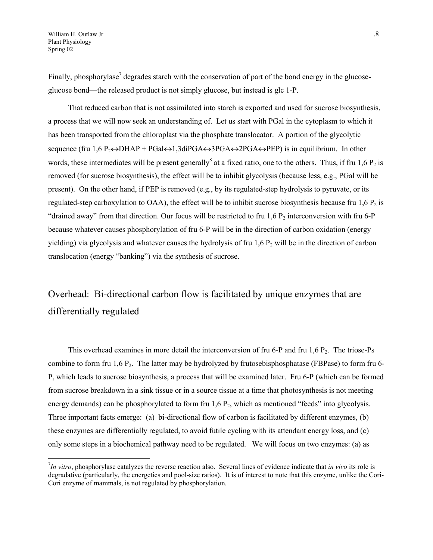Finally, phosphorylase<sup>7</sup> degrades starch with the conservation of part of the bond energy in the glucoseglucose bond—the released product is not simply glucose, but instead is glc 1-P.

That reduced carbon that is not assimilated into starch is exported and used for sucrose biosynthesis, a process that we will now seek an understanding of. Let us start with PGal in the cytoplasm to which it has been transported from the chloroplast via the phosphate translocator. A portion of the glycolytic sequence (fru 1,6 P<sub>2</sub> $\leftrightarrow$ DHAP + PGal $\leftrightarrow$ 1,3diPGA $\leftrightarrow$ 3PGA $\leftrightarrow$ 2PGA $\leftrightarrow$ PEP) is in equilibrium. In other words, these intermediates will be present generally<sup>8</sup> at a fixed ratio, one to the others. Thus, if fru  $1,6$  P<sub>2</sub> is removed (for sucrose biosynthesis), the effect will be to inhibit glycolysis (because less, e.g., PGal will be present). On the other hand, if PEP is removed (e.g., by its regulated-step hydrolysis to pyruvate, or its regulated-step carboxylation to OAA), the effect will be to inhibit sucrose biosynthesis because fru  $1.6 P<sub>2</sub>$  is "drained away" from that direction. Our focus will be restricted to fru  $1,6$  P<sub>2</sub> interconversion with fru 6-P because whatever causes phosphorylation of fru 6-P will be in the direction of carbon oxidation (energy yielding) via glycolysis and whatever causes the hydrolysis of fru  $1.6$  P<sub>2</sub> will be in the direction of carbon translocation (energy "banking") via the synthesis of sucrose.

# Overhead: Bi-directional carbon flow is facilitated by unique enzymes that are differentially regulated

<span id="page-7-1"></span>This overhead examines in more detail the interconversion of fru 6-P and fru  $1,6$  P<sub>2</sub>. The triose-Ps combine to form fru  $1,6$  P<sub>2</sub>. The latter may be hydrolyzed by frutosebisphosphatase (FBPase) to form fru 6-P, which leads to sucrose biosynthesis, a process that will be examined later. Fru 6-P (which can be formed from sucrose breakdown in a sink tissue or in a source tissue at a time that photosynthesis is not meeting energy demands) can be phosphorylated to form fru  $1,6$   $P_2$ , which as mentioned "feeds" into glycolysis. Three important facts emerge: (a) bi-directional flow of carbon is facilitated by different enzymes, (b) these enzymes are differentially regulated, to avoid futile cycling with its attendant energy loss, and (c) only some steps in a biochemical pathway need to be regulated. We will focus on two enzymes: (a) as

<span id="page-7-0"></span><sup>7</sup> *In vitro*, phosphorylase catalyzes the reverse reaction also. Several lines of evidence indicate that *in vivo* its role is degradative (particularly, the energetics and pool-size ratios). It is of interest to note that this enzyme, unlike the Cori-Cori enzyme of mammals, is not regulated by phosphorylation.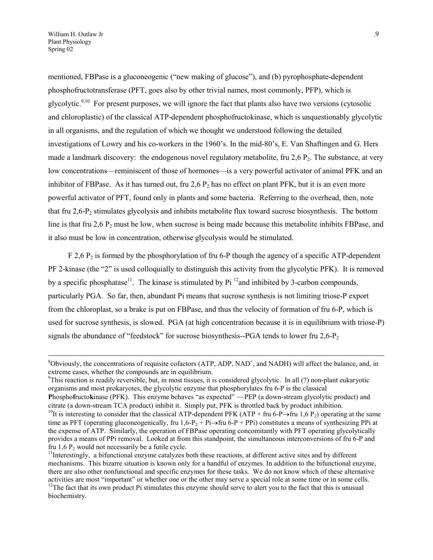mentioned, FBPase is a gluconeogenic ("new making of glucose"), and (b) pyrophosphate-dependent phosphofructotransferase (PFT, goes also by other trivial names, most commonly, PFP), which is glycolytic.<sup>[9,](#page-8-0)10</sup> For present purposes, we will ignore the fact that plants also have two versions (cytosolic and chloroplastic) of the classical ATP-dependent phosphofructokinase, which is unquestionably glycolytic in all organisms, and the regulation of which we thought we understood following the detailed investigations of Lowry and his co-workers in the 1960's. In the mid-80's, E. Van Shaftingen and G. Hers made a landmark discovery: the endogenous novel regulatory metabolite, fru  $2.6$  P<sub>2</sub>. The substance, at very low concentrations—reminiscent of those of hormones—is a very powerful activator of animal PFK and an inhibitor of FBPase. As it has turned out, fru 2,6  $P_2$  has no effect on plant PFK, but it is an even more powerful activator of PFT, found only in plants and some bacteria. Referring to the overhead, then, note that fru 2,6-P2 stimulates glycolysis and inhibits metabolite flux toward sucrose biosynthesis. The bottom line is that fru 2,6  $P_2$  must be low, when sucrose is being made because this metabolite inhibits FBPase, and it also must be low in concentration, otherwise glycolysis would be stimulated.

 $F$  2,6 P<sub>2</sub> is formed by the phosphorylation of fru 6-P though the agency of a specific ATP-dependent PF 2-kinase (the "2" is used colloquially to distinguish this activity from the glycolytic PFK). It is removed by a specific phosphatase<sup>11</sup>. The kinase is stimulated by  $Pi^{12}$  and inhibited by 3-carbon compounds, particularly PGA. So far, then, abundant Pi means that sucrose synthesis is not limiting triose-P export from the chloroplast, so a brake is put on FBPase, and thus the velocity of formation of fru 6-P, which is used for sucrose synthesis, is slowed. PGA (at high concentration because it is in equilibrium with triose-P) signals the abundance of "feedstock" for sucrose biosynthesis--PGA tends to lower fru  $2.6$ -P<sub>2</sub>

<span id="page-8-0"></span><sup>9</sup>This reaction is readily reversible, but, in most tissues, it is considered glycolytic. In all (?) non-plant eukaryotic organisms and most prokaryotes, the glycolytic enzyme that phosphorylates fru 6-P is the classical **P**hospho**f**ructo**k**inase (PFK). This enzyme behaves "as expected" —PEP (a down-stream glycolytic product) and citrate (a down-stream TCA product) inhibit it. Simply put, PFK is throttled back by product inhibition.

 $\overline{a}$ 

 $8$ Obviously, the concentrations of requisite cofactors (ATP, ADP, NAD<sup>+</sup>, and NADH) will affect the balance, and, in extreme cases, whether the compounds are in equilibrium.

<span id="page-8-1"></span><sup>&</sup>lt;sup>10</sup>It is interesting to consider that the classical ATP-dependent PFK (ATP + fru 6-P $\rightarrow$ fru 1,6 P<sub>2</sub>) operating at the same time as PFT (operating gluconeogenically, fru  $1,6-P_2 + P_i \rightarrow f_i \rightarrow F_i$ ) constitutes a means of synthesizing PPi at the expense of ATP. Similarly, the operation of FBPase operating concomitantly with PFT operating glycolytically provides a means of PPi removal. Looked at from this standpoint, the simultaneous interconversions of fru 6-P and fru 1,6  $P_2$  would not necessarily be a futile cycle.<br><sup>11</sup>Interestingly, a bifunctional enzyme catalyzes both these reactions, at different active sites and by different

<span id="page-8-3"></span><span id="page-8-2"></span>mechanisms. This bizarre situation is known only for a handful of enzymes. In addition to the bifunctional enzyme, there are also other nonfunctional and specific enzymes for these tasks. We do not know which of these alternative activities are most "important" or whether one or the other may serve a special role at some time or in some cells.  $12$ The fact that its own product Pi stimulates this enzyme should serve to alert you to the fact that this is unusual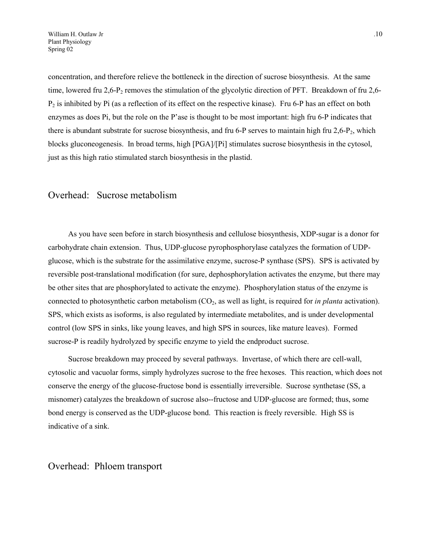concentration, and therefore relieve the bottleneck in the direction of sucrose biosynthesis. At the same time, lowered fru  $2.6$ -P<sub>2</sub> removes the stimulation of the glycolytic direction of PFT. Breakdown of fru  $2.6$ - $P_2$  is inhibited by Pi (as a reflection of its effect on the respective kinase). Fru 6-P has an effect on both enzymes as does Pi, but the role on the P'ase is thought to be most important: high fru 6-P indicates that there is abundant substrate for sucrose biosynthesis, and fru 6-P serves to maintain high fru  $2.6$ -P<sub>2</sub>, which blocks gluconeogenesis. In broad terms, high [PGA]/[Pi] stimulates sucrose biosynthesis in the cytosol, just as this high ratio stimulated starch biosynthesis in the plastid.

#### Overhead: Sucrose metabolism

As you have seen before in starch biosynthesis and cellulose biosynthesis, XDP-sugar is a donor for carbohydrate chain extension. Thus, UDP-glucose pyrophosphorylase catalyzes the formation of UDPglucose, which is the substrate for the assimilative enzyme, sucrose-P synthase (SPS). SPS is activated by reversible post-translational modification (for sure, dephosphorylation activates the enzyme, but there may be other sites that are phosphorylated to activate the enzyme). Phosphorylation status of the enzyme is connected to photosynthetic carbon metabolism (CO2, as well as light, is required for *in planta* activation). SPS, which exists as isoforms, is also regulated by intermediate metabolites, and is under developmental control (low SPS in sinks, like young leaves, and high SPS in sources, like mature leaves). Formed sucrose-P is readily hydrolyzed by specific enzyme to yield the endproduct sucrose.

Sucrose breakdown may proceed by several pathways. Invertase, of which there are cell-wall, cytosolic and vacuolar forms, simply hydrolyzes sucrose to the free hexoses. This reaction, which does not conserve the energy of the glucose-fructose bond is essentially irreversible. Sucrose synthetase (SS, a misnomer) catalyzes the breakdown of sucrose also--fructose and UDP-glucose are formed; thus, some bond energy is conserved as the UDP-glucose bond. This reaction is freely reversible. High SS is indicative of a sink.

#### Overhead: Phloem transport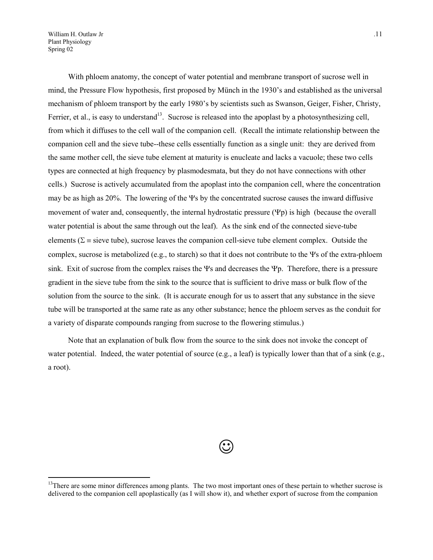William H. Outlaw Jr ... 11 Plant Physiology Spring 02

 $\overline{a}$ 

With phloem anatomy, the concept of water potential and membrane transport of sucrose well in mind, the Pressure Flow hypothesis, first proposed by Münch in the 1930's and established as the universal mechanism of phloem transport by the early 1980's by scientists such as Swanson, Geiger, Fisher, Christy, Ferrier, et al., is easy to understand<sup>13</sup>. Sucrose is released into the apoplast by a photosynthesizing cell, from which it diffuses to the cell wall of the companion cell. (Recall the intimate relationship between the companion cell and the sieve tube--these cells essentially function as a single unit: they are derived from the same mother cell, the sieve tube element at maturity is enucleate and lacks a vacuole; these two cells types are connected at high frequency by plasmodesmata, but they do not have connections with other cells.) Sucrose is actively accumulated from the apoplast into the companion cell, where the concentration may be as high as  $20\%$ . The lowering of the  $\Psi$ s by the concentrated sucrose causes the inward diffusive movement of water and, consequently, the internal hydrostatic pressure  $(\Psi_{\rm D})$  is high (because the overall water potential is about the same through out the leaf). As the sink end of the connected sieve-tube elements ( $\Sigma$  = sieve tube), sucrose leaves the companion cell-sieve tube element complex. Outside the complex, sucrose is metabolized (e.g., to starch) so that it does not contribute to the  $\Psi$ s of the extra-phloem sink. Exit of sucrose from the complex raises the  $\Psi$ s and decreases the  $\Psi$ p. Therefore, there is a pressure gradient in the sieve tube from the sink to the source that is sufficient to drive mass or bulk flow of the solution from the source to the sink. (It is accurate enough for us to assert that any substance in the sieve tube will be transported at the same rate as any other substance; hence the phloem serves as the conduit for a variety of disparate compounds ranging from sucrose to the flowering stimulus.)

Note that an explanation of bulk flow from the source to the sink does not invoke the concept of water potential. Indeed, the water potential of source (e.g., a leaf) is typically lower than that of a sink (e.g., a root).

 $\odot$ 

<span id="page-10-0"></span><sup>&</sup>lt;sup>13</sup>There are some minor differences among plants. The two most important ones of these pertain to whether sucrose is delivered to the companion cell apoplastically (as I will show it), and whether export of sucrose from the companion